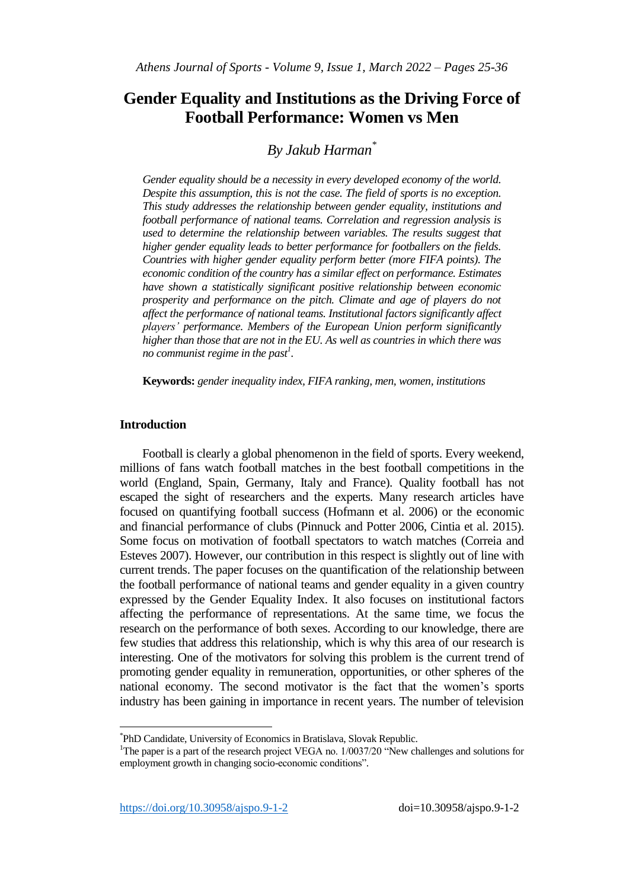# **Gender Equality and Institutions as the Driving Force of Football Performance: Women vs Men**

## *By Jakub Harman\**

*Gender equality should be a necessity in every developed economy of the world. Despite this assumption, this is not the case. The field of sports is no exception. This study addresses the relationship between gender equality, institutions and football performance of national teams. Correlation and regression analysis is used to determine the relationship between variables. The results suggest that higher gender equality leads to better performance for footballers on the fields. Countries with higher gender equality perform better (more FIFA points). The economic condition of the country has a similar effect on performance. Estimates have shown a statistically significant positive relationship between economic prosperity and performance on the pitch. Climate and age of players do not affect the performance of national teams. Institutional factors significantly affect players' performance. Members of the European Union perform significantly higher than those that are not in the EU. As well as countries in which there was no communist regime in the past<sup>1</sup> .*

**Keywords:** *gender inequality index, FIFA ranking, men, women, institutions*

## **Introduction**

 $\overline{a}$ 

Football is clearly a global phenomenon in the field of sports. Every weekend, millions of fans watch football matches in the best football competitions in the world (England, Spain, Germany, Italy and France). Quality football has not escaped the sight of researchers and the experts. Many research articles have focused on quantifying football success (Hofmann et al. 2006) or the economic and financial performance of clubs (Pinnuck and Potter 2006, Cintia et al. 2015). Some focus on motivation of football spectators to watch matches (Correia and Esteves 2007). However, our contribution in this respect is slightly out of line with current trends. The paper focuses on the quantification of the relationship between the football performance of national teams and gender equality in a given country expressed by the Gender Equality Index. It also focuses on institutional factors affecting the performance of representations. At the same time, we focus the research on the performance of both sexes. According to our knowledge, there are few studies that address this relationship, which is why this area of our research is interesting. One of the motivators for solving this problem is the current trend of promoting gender equality in remuneration, opportunities, or other spheres of the national economy. The second motivator is the fact that the women's sports industry has been gaining in importance in recent years. The number of television

<sup>\*</sup> PhD Candidate, University of Economics in Bratislava, Slovak Republic.

<sup>&</sup>lt;sup>1</sup>The paper is a part of the research project VEGA no. 1/0037/20 "New challenges and solutions for employment growth in changing socio-economic conditions".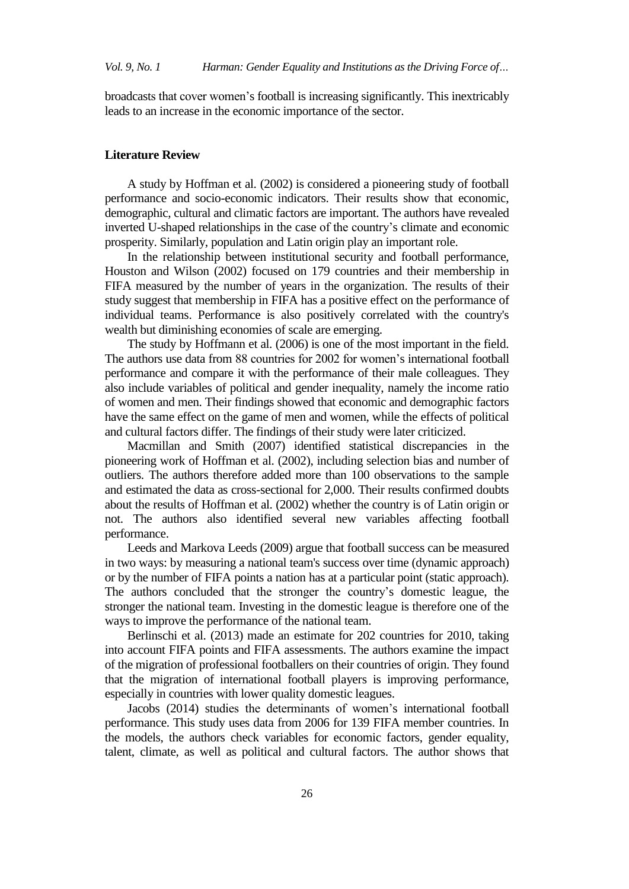broadcasts that cover women's football is increasing significantly. This inextricably leads to an increase in the economic importance of the sector.

## **Literature Review**

A study by Hoffman et al. (2002) is considered a pioneering study of football performance and socio-economic indicators. Their results show that economic, demographic, cultural and climatic factors are important. The authors have revealed inverted U-shaped relationships in the case of the country's climate and economic prosperity. Similarly, population and Latin origin play an important role.

In the relationship between institutional security and football performance, Houston and Wilson (2002) focused on 179 countries and their membership in FIFA measured by the number of years in the organization. The results of their study suggest that membership in FIFA has a positive effect on the performance of individual teams. Performance is also positively correlated with the country's wealth but diminishing economies of scale are emerging.

The study by Hoffmann et al. (2006) is one of the most important in the field. The authors use data from 88 countries for 2002 for women's international football performance and compare it with the performance of their male colleagues. They also include variables of political and gender inequality, namely the income ratio of women and men. Their findings showed that economic and demographic factors have the same effect on the game of men and women, while the effects of political and cultural factors differ. The findings of their study were later criticized.

Macmillan and Smith (2007) identified statistical discrepancies in the pioneering work of Hoffman et al. (2002), including selection bias and number of outliers. The authors therefore added more than 100 observations to the sample and estimated the data as cross-sectional for 2,000. Their results confirmed doubts about the results of Hoffman et al. (2002) whether the country is of Latin origin or not. The authors also identified several new variables affecting football performance.

Leeds and Markova Leeds (2009) argue that football success can be measured in two ways: by measuring a national team's success over time (dynamic approach) or by the number of FIFA points a nation has at a particular point (static approach). The authors concluded that the stronger the country's domestic league, the stronger the national team. Investing in the domestic league is therefore one of the ways to improve the performance of the national team.

Berlinschi et al. (2013) made an estimate for 202 countries for 2010, taking into account FIFA points and FIFA assessments. The authors examine the impact of the migration of professional footballers on their countries of origin. They found that the migration of international football players is improving performance, especially in countries with lower quality domestic leagues.

Jacobs (2014) studies the determinants of women's international football performance. This study uses data from 2006 for 139 FIFA member countries. In the models, the authors check variables for economic factors, gender equality, talent, climate, as well as political and cultural factors. The author shows that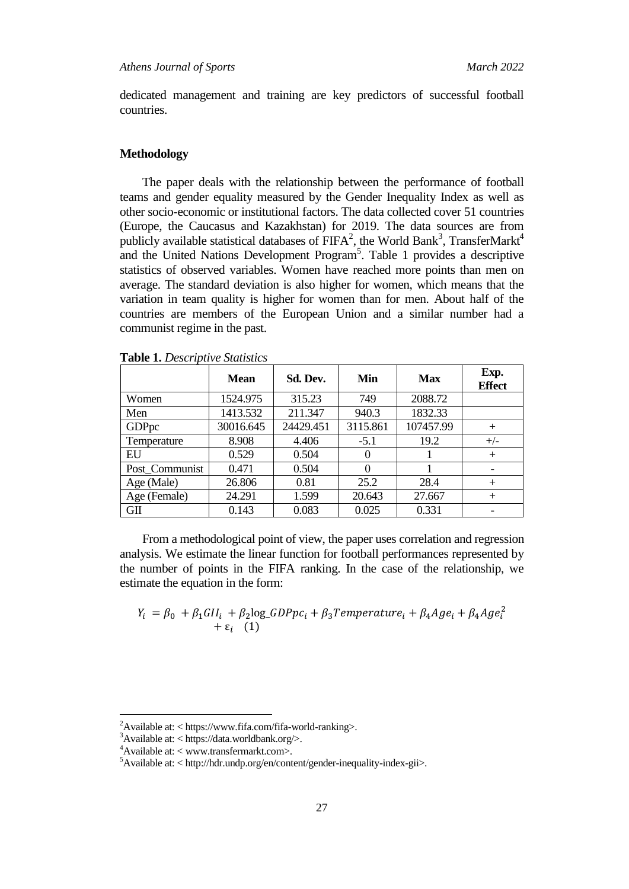dedicated management and training are key predictors of successful football countries.

#### **Methodology**

The paper deals with the relationship between the performance of football teams and gender equality measured by the Gender Inequality Index as well as other socio-economic or institutional factors. The data collected cover 51 countries (Europe, the Caucasus and Kazakhstan) for 2019. The data sources are from publicly available statistical databases of  $FIFA^2$ , the World Bank<sup>3</sup>, TransferMarkt<sup>4</sup> and the United Nations Development Program<sup>5</sup>. Table 1 provides a descriptive statistics of observed variables. Women have reached more points than men on average. The standard deviation is also higher for women, which means that the variation in team quality is higher for women than for men. About half of the countries are members of the European Union and a similar number had a communist regime in the past.

|                | <b>Mean</b> | Sd. Dev.  | Min      | <b>Max</b> | Exp.<br><b>Effect</b> |
|----------------|-------------|-----------|----------|------------|-----------------------|
| Women          | 1524.975    | 315.23    | 749      | 2088.72    |                       |
| Men            | 1413.532    | 211.347   | 940.3    | 1832.33    |                       |
| GDPpc          | 30016.645   | 24429.451 | 3115.861 | 107457.99  | $^{+}$                |
| Temperature    | 8.908       | 4.406     | $-5.1$   | 19.2       | $+/-$                 |
| EU             | 0.529       | 0.504     | $\theta$ |            | $+$                   |
| Post_Communist | 0.471       | 0.504     | $\theta$ |            |                       |
| Age (Male)     | 26.806      | 0.81      | 25.2     | 28.4       | $+$                   |
| Age (Female)   | 24.291      | 1.599     | 20.643   | 27.667     | $^{+}$                |
| GII            | 0.143       | 0.083     | 0.025    | 0.331      | -                     |

**Table 1.** *Descriptive Statistics*

From a methodological point of view, the paper uses correlation and regression analysis. We estimate the linear function for football performances represented by the number of points in the FIFA ranking. In the case of the relationship, we estimate the equation in the form:

$$
Y_i = \beta_0 + \beta_1 G II_i + \beta_2 \log_G D P p c_i + \beta_3 T emperature_i + \beta_4 Age_i + \beta_4 Age_i^2
$$
  
+  $\varepsilon_i$  (1)

 $\overline{a}$ 

 $^{2}$ Available at: < https://www.fifa.com/fifa-world-ranking>.

 $3$ Available at: < https://data.worldbank.org/>.

<sup>4</sup>Available at: < www.transfermarkt.com>.

<sup>5</sup>Available at: < http://hdr.undp.org/en/content/gender-inequality-index-gii>.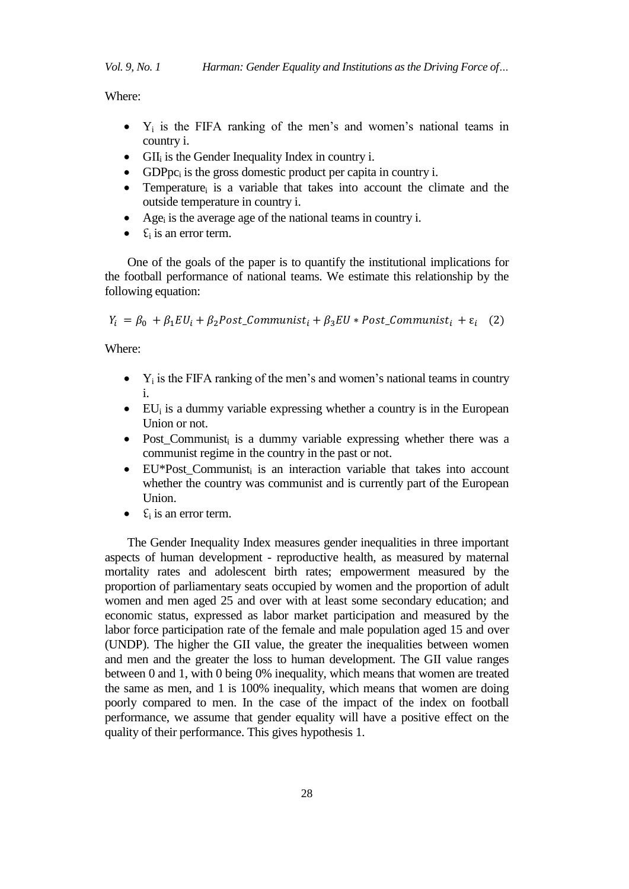Where:

- $\bullet$  Y<sub>i</sub> is the FIFA ranking of the men's and women's national teams in country i.
- $\bullet$  GII<sub>i</sub> is the Gender Inequality Index in country i.
- GDPpc<sub>i</sub> is the gross domestic product per capita in country i.
- Temperature<sub>i</sub> is a variable that takes into account the climate and the outside temperature in country i.
- Age<sub>i</sub> is the average age of the national teams in country i.
- $\bullet$   $\epsilon_i$  is an error term.

One of the goals of the paper is to quantify the institutional implications for the football performance of national teams. We estimate this relationship by the following equation:

 $Y_i = \beta_0 + \beta_1 EU_i + \beta_2 Post\_Communist_i + \beta_3 EU * Post\_Communist_i + \varepsilon_i$  (2)

Where:

- $\bullet$  Y<sub>i</sub> is the FIFA ranking of the men's and women's national teams in country i.
- $\bullet$  EU<sub>i</sub> is a dummy variable expressing whether a country is in the European Union or not.
- Post\_Communist<sub>i</sub> is a dummy variable expressing whether there was a communist regime in the country in the past or not.
- EU\*Post\_Communist<sub>i</sub> is an interaction variable that takes into account whether the country was communist and is currently part of the European Union.
- $\epsilon_i$  is an error term.

The Gender Inequality Index measures gender inequalities in three important aspects of human development - reproductive health, as measured by maternal mortality rates and adolescent birth rates; empowerment measured by the proportion of parliamentary seats occupied by women and the proportion of adult women and men aged 25 and over with at least some secondary education; and economic status, expressed as labor market participation and measured by the labor force participation rate of the female and male population aged 15 and over (UNDP). The higher the GII value, the greater the inequalities between women and men and the greater the loss to human development. The GII value ranges between 0 and 1, with 0 being 0% inequality, which means that women are treated the same as men, and 1 is 100% inequality, which means that women are doing poorly compared to men. In the case of the impact of the index on football performance, we assume that gender equality will have a positive effect on the quality of their performance. This gives hypothesis 1.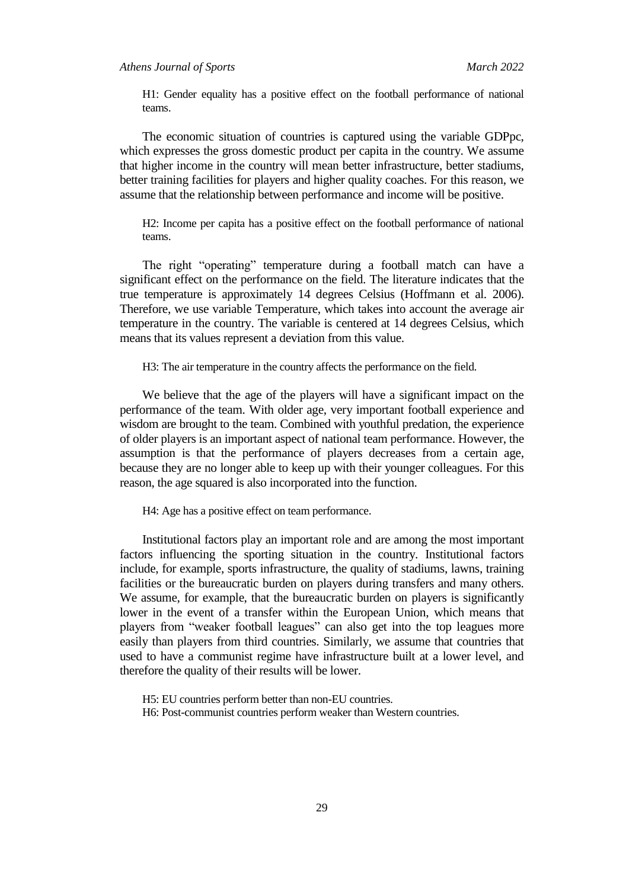## *Athens Journal of Sports March 2022*

H1: Gender equality has a positive effect on the football performance of national teams.

The economic situation of countries is captured using the variable GDPpc, which expresses the gross domestic product per capita in the country. We assume that higher income in the country will mean better infrastructure, better stadiums, better training facilities for players and higher quality coaches. For this reason, we assume that the relationship between performance and income will be positive.

H2: Income per capita has a positive effect on the football performance of national teams.

The right "operating" temperature during a football match can have a significant effect on the performance on the field. The literature indicates that the true temperature is approximately 14 degrees Celsius (Hoffmann et al. 2006). Therefore, we use variable Temperature, which takes into account the average air temperature in the country. The variable is centered at 14 degrees Celsius, which means that its values represent a deviation from this value.

H3: The air temperature in the country affects the performance on the field.

We believe that the age of the players will have a significant impact on the performance of the team. With older age, very important football experience and wisdom are brought to the team. Combined with youthful predation, the experience of older players is an important aspect of national team performance. However, the assumption is that the performance of players decreases from a certain age, because they are no longer able to keep up with their younger colleagues. For this reason, the age squared is also incorporated into the function.

H4: Age has a positive effect on team performance.

Institutional factors play an important role and are among the most important factors influencing the sporting situation in the country. Institutional factors include, for example, sports infrastructure, the quality of stadiums, lawns, training facilities or the bureaucratic burden on players during transfers and many others. We assume, for example, that the bureaucratic burden on players is significantly lower in the event of a transfer within the European Union, which means that players from "weaker football leagues" can also get into the top leagues more easily than players from third countries. Similarly, we assume that countries that used to have a communist regime have infrastructure built at a lower level, and therefore the quality of their results will be lower.

H5: EU countries perform better than non-EU countries. H6: Post-communist countries perform weaker than Western countries.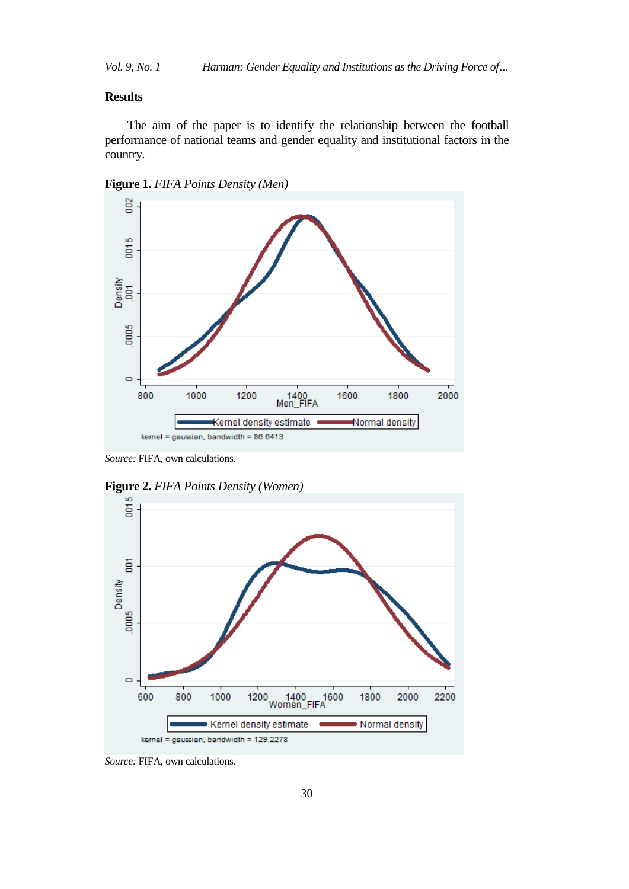*Vol. 9, No. 1 Harman: Gender Equality and Institutions as the Driving Force of…*

## **Results**

The aim of the paper is to identify the relationship between the football performance of national teams and gender equality and institutional factors in the country.





*Source:* FIFA, own calculations.



**Figure 2.** *FIFA Points Density (Women)*

*Source:* FIFA, own calculations.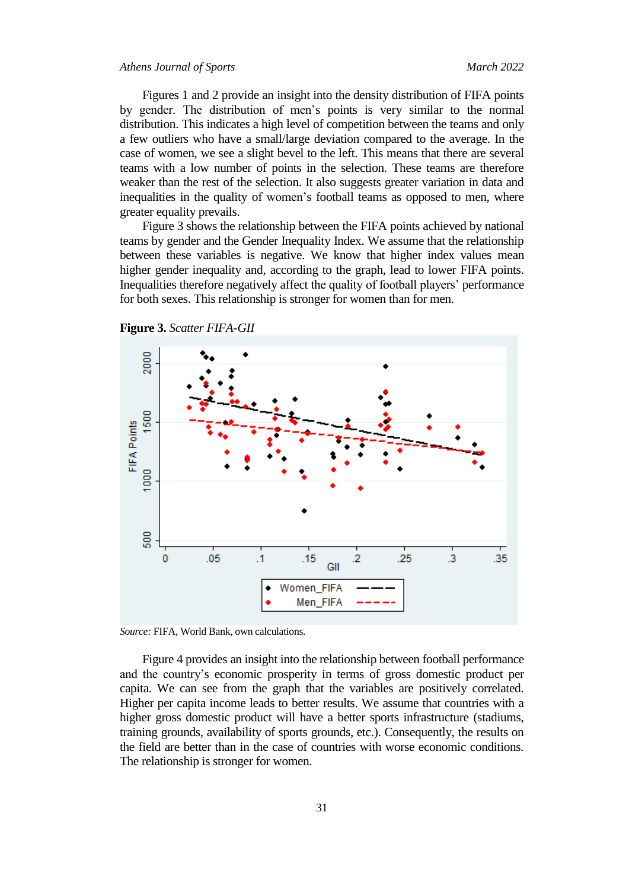Figures 1 and 2 provide an insight into the density distribution of FIFA points by gender. The distribution of men's points is very similar to the normal distribution. This indicates a high level of competition between the teams and only a few outliers who have a small/large deviation compared to the average. In the case of women, we see a slight bevel to the left. This means that there are several teams with a low number of points in the selection. These teams are therefore weaker than the rest of the selection. It also suggests greater variation in data and inequalities in the quality of women's football teams as opposed to men, where greater equality prevails.

Figure 3 shows the relationship between the FIFA points achieved by national teams by gender and the Gender Inequality Index. We assume that the relationship between these variables is negative. We know that higher index values mean higher gender inequality and, according to the graph, lead to lower FIFA points. Inequalities therefore negatively affect the quality of football players' performance for both sexes. This relationship is stronger for women than for men.



**Figure 3.** *Scatter FIFA-GII*

*Source:* FIFA, World Bank, own calculations.

Figure 4 provides an insight into the relationship between football performance and the country's economic prosperity in terms of gross domestic product per capita. We can see from the graph that the variables are positively correlated. Higher per capita income leads to better results. We assume that countries with a higher gross domestic product will have a better sports infrastructure (stadiums, training grounds, availability of sports grounds, etc.). Consequently, the results on the field are better than in the case of countries with worse economic conditions. The relationship is stronger for women.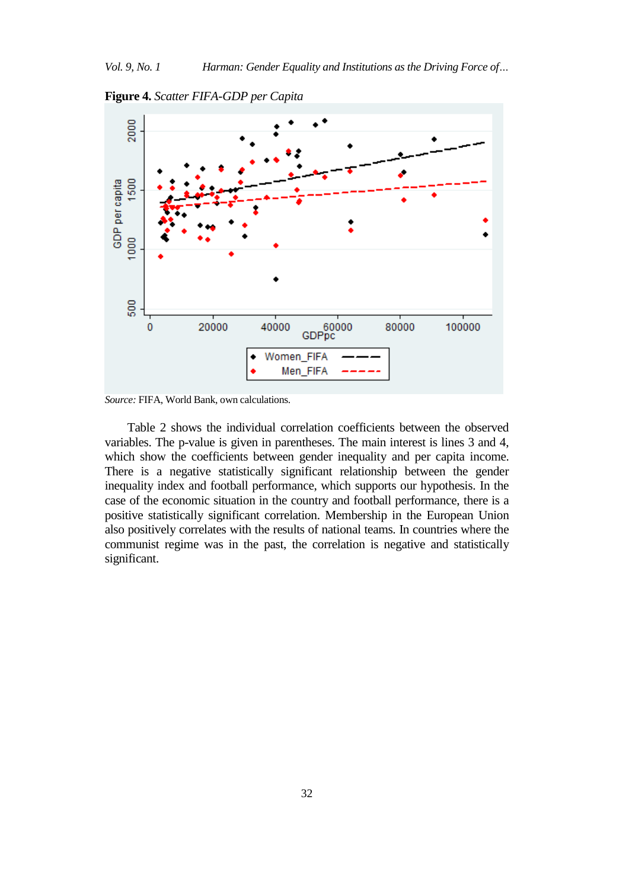

**Figure 4.** *Scatter FIFA-GDP per Capita* 

*Source:* FIFA, World Bank, own calculations.

Table 2 shows the individual correlation coefficients between the observed variables. The p-value is given in parentheses. The main interest is lines 3 and 4, which show the coefficients between gender inequality and per capita income. There is a negative statistically significant relationship between the gender inequality index and football performance, which supports our hypothesis. In the case of the economic situation in the country and football performance, there is a positive statistically significant correlation. Membership in the European Union also positively correlates with the results of national teams. In countries where the communist regime was in the past, the correlation is negative and statistically significant.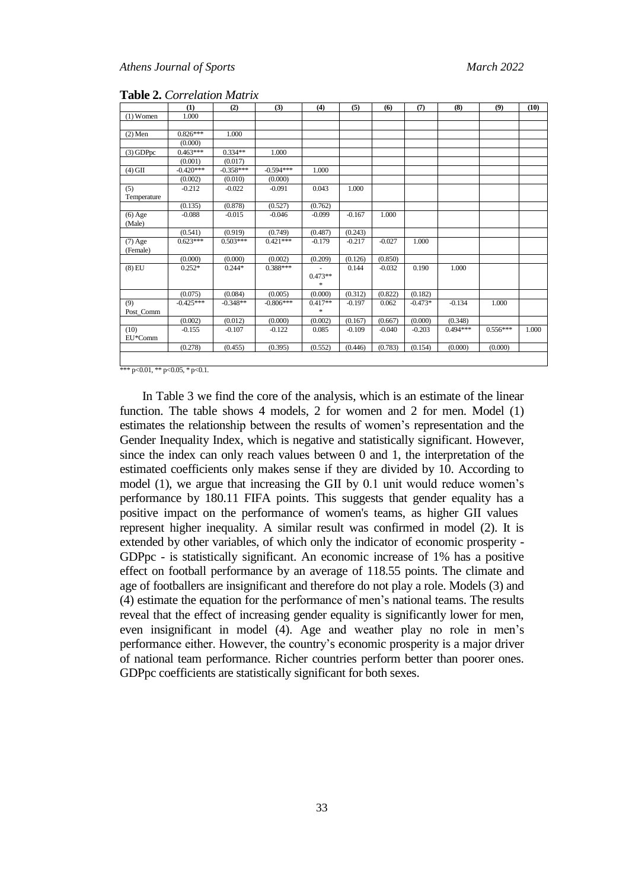|             | (1)         | (2)         | (3)         | (4)                 | (5)      | (6)      | (7)       | (8)        | (9)        | (10)  |
|-------------|-------------|-------------|-------------|---------------------|----------|----------|-----------|------------|------------|-------|
| $(1)$ Women | 1.000       |             |             |                     |          |          |           |            |            |       |
|             |             |             |             |                     |          |          |           |            |            |       |
| $(2)$ Men   | $0.826***$  | 1.000       |             |                     |          |          |           |            |            |       |
|             | (0.000)     |             |             |                     |          |          |           |            |            |       |
| $(3)$ GDPpc | $0.463***$  | $0.334**$   | 1.000       |                     |          |          |           |            |            |       |
|             | (0.001)     | (0.017)     |             |                     |          |          |           |            |            |       |
| $(4)$ GII   | $-0.420***$ | $-0.358***$ | $-0.594***$ | 1.000               |          |          |           |            |            |       |
|             | (0.002)     | (0.010)     | (0.000)     |                     |          |          |           |            |            |       |
| (5)         | $-0.212$    | $-0.022$    | $-0.091$    | 0.043               | 1.000    |          |           |            |            |       |
| Temperature |             |             |             |                     |          |          |           |            |            |       |
|             | (0.135)     | (0.878)     | (0.527)     | (0.762)             |          |          |           |            |            |       |
| $(6)$ Age   | $-0.088$    | $-0.015$    | $-0.046$    | $-0.099$            | $-0.167$ | 1.000    |           |            |            |       |
| (Male)      |             |             |             |                     |          |          |           |            |            |       |
|             | (0.541)     | (0.919)     | (0.749)     | (0.487)             | (0.243)  |          |           |            |            |       |
| $(7)$ Age   | $0.623***$  | $0.503***$  | $0.421***$  | $-0.179$            | $-0.217$ | $-0.027$ | 1.000     |            |            |       |
| (Female)    |             |             |             |                     |          |          |           |            |            |       |
|             | (0.000)     | (0.000)     | (0.002)     | (0.209)             | (0.126)  | (0.850)  |           |            |            |       |
| $(8)$ EU    | $0.252*$    | $0.244*$    | 0.388***    |                     | 0.144    | $-0.032$ | 0.190     | 1.000      |            |       |
|             |             |             |             | $0.473**$<br>$\ast$ |          |          |           |            |            |       |
|             |             |             |             |                     |          |          |           |            |            |       |
|             | (0.075)     | (0.084)     | (0.005)     | (0.000)             | (0.312)  | (0.822)  | (0.182)   |            |            |       |
| (9)         | $-0.425***$ | $-0.348**$  | $-0.806***$ | $0.417**$<br>$\ast$ | $-0.197$ | 0.062    | $-0.473*$ | $-0.134$   | 1.000      |       |
| Post_Comm   |             |             |             |                     |          |          |           |            |            |       |
|             | (0.002)     | (0.012)     | (0.000)     | (0.002)             | (0.167)  | (0.667)  | (0.000)   | (0.348)    |            |       |
| (10)        | $-0.155$    | $-0.107$    | $-0.122$    | 0.085               | $-0.109$ | $-0.040$ | $-0.203$  | $0.494***$ | $0.556***$ | 1.000 |
| EU*Comm     |             |             |             |                     |          |          |           |            |            |       |
|             | (0.278)     | (0.455)     | (0.395)     | (0.552)             | (0.446)  | (0.783)  | (0.154)   | (0.000)    | (0.000)    |       |
|             |             |             |             |                     |          |          |           |            |            |       |

**Table 2.** *Correlation Matrix*

\*\*\* p<0.01, \*\* p<0.05, \* p<0.1.

In Table 3 we find the core of the analysis, which is an estimate of the linear function. The table shows 4 models, 2 for women and 2 for men. Model (1) estimates the relationship between the results of women's representation and the Gender Inequality Index, which is negative and statistically significant. However, since the index can only reach values between 0 and 1, the interpretation of the estimated coefficients only makes sense if they are divided by 10. According to model (1), we argue that increasing the GII by 0.1 unit would reduce women's performance by 180.11 FIFA points. This suggests that gender equality has a positive impact on the performance of women's teams, as higher GII values represent higher inequality. A similar result was confirmed in model (2). It is extended by other variables, of which only the indicator of economic prosperity - GDPpc - is statistically significant. An economic increase of 1% has a positive effect on football performance by an average of 118.55 points. The climate and age of footballers are insignificant and therefore do not play a role. Models (3) and (4) estimate the equation for the performance of men's national teams. The results reveal that the effect of increasing gender equality is significantly lower for men, even insignificant in model (4). Age and weather play no role in men's performance either. However, the country's economic prosperity is a major driver of national team performance. Richer countries perform better than poorer ones. GDPpc coefficients are statistically significant for both sexes.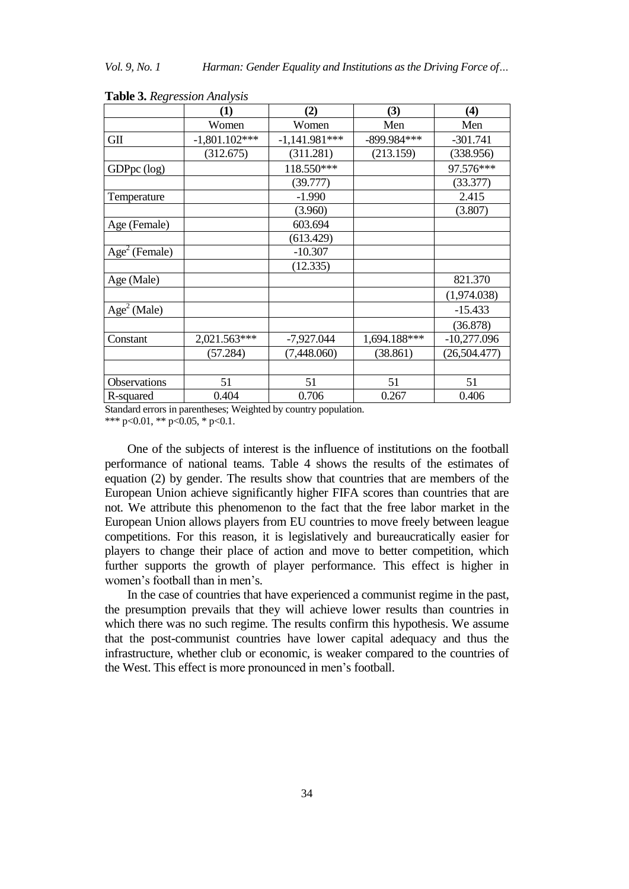|                         | (1)             | (2)             | (3)          | (4)            |
|-------------------------|-----------------|-----------------|--------------|----------------|
|                         | Women           | Women           | Men          | Men            |
| GII                     | $-1,801.102***$ | $-1,141.981***$ | -899.984***  | $-301.741$     |
|                         | (312.675)       | (311.281)       | (213.159)    | (338.956)      |
| GDPpc (log)             |                 | 118.550***      |              | 97.576***      |
|                         |                 | (39.777)        |              | (33.377)       |
| Temperature             |                 | $-1.990$        |              | 2.415          |
|                         |                 | (3.960)         |              | (3.807)        |
| Age (Female)            |                 | 603.694         |              |                |
|                         |                 | (613.429)       |              |                |
| $Age2$ (Female)         |                 | $-10.307$       |              |                |
|                         |                 | (12.335)        |              |                |
| Age (Male)              |                 |                 |              | 821.370        |
|                         |                 |                 |              | (1,974.038)    |
| Age <sup>2</sup> (Male) |                 |                 |              | $-15.433$      |
|                         |                 |                 |              | (36.878)       |
| Constant                | 2,021.563***    | $-7,927.044$    | 1,694.188*** | $-10,277.096$  |
|                         | (57.284)        | (7,448.060)     | (38.861)     | (26, 504, 477) |
|                         |                 |                 |              |                |
| Observations            | 51              | 51              | 51           | 51             |
| R-squared               | 0.404           | 0.706           | 0.267        | 0.406          |

| <b>Table 3. Regression Analysis</b> |  |
|-------------------------------------|--|
|-------------------------------------|--|

Standard errors in parentheses; Weighted by country population.

\*\*\* p<0.01, \*\* p<0.05, \* p<0.1.

One of the subjects of interest is the influence of institutions on the football performance of national teams. Table 4 shows the results of the estimates of equation (2) by gender. The results show that countries that are members of the European Union achieve significantly higher FIFA scores than countries that are not. We attribute this phenomenon to the fact that the free labor market in the European Union allows players from EU countries to move freely between league competitions. For this reason, it is legislatively and bureaucratically easier for players to change their place of action and move to better competition, which further supports the growth of player performance. This effect is higher in women's football than in men's.

In the case of countries that have experienced a communist regime in the past, the presumption prevails that they will achieve lower results than countries in which there was no such regime. The results confirm this hypothesis. We assume that the post-communist countries have lower capital adequacy and thus the infrastructure, whether club or economic, is weaker compared to the countries of the West. This effect is more pronounced in men's football.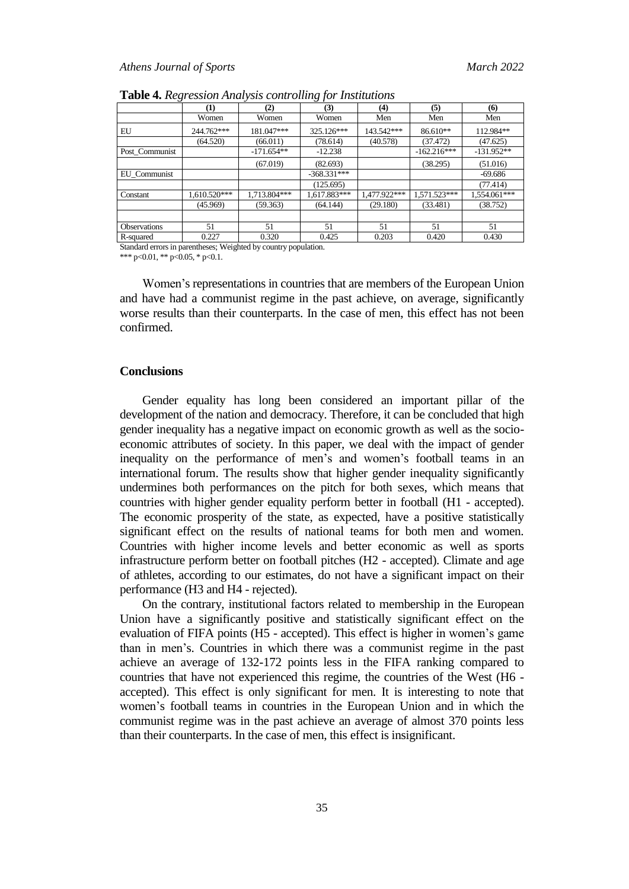|                     | (1)          | (2)          | (3)           | (4)          | (5)            | $\boldsymbol{\epsilon}$ |
|---------------------|--------------|--------------|---------------|--------------|----------------|-------------------------|
|                     | Women        | Women        | Women         | Men          | Men            | Men                     |
| EU                  | 244.762***   | 181.047***   | 325.126***    | 143.542***   | 86.610**       | 112.984**               |
|                     | (64.520)     | (66.011)     | (78.614)      | (40.578)     | (37.472)       | (47.625)                |
| Post Communist      |              | $-171.654**$ | $-12.238$     |              | $-162.216***$  | $-131.952**$            |
|                     |              | (67.019)     | (82.693)      |              | (38.295)       | (51.016)                |
| EU Communist        |              |              | $-368.331***$ |              |                | $-69.686$               |
|                     |              |              | (125.695)     |              |                | (77.414)                |
| Constant            | 1,610.520*** | 1,713.804*** | 1,617.883***  | 1,477.922*** | $1,571.523***$ | 1,554.061***            |
|                     | (45.969)     | (59.363)     | (64.144)      | (29.180)     | (33.481)       | (38.752)                |
|                     |              |              |               |              |                |                         |
| <b>Observations</b> | 51           | 51           | 51            | 51           | 51             | 51                      |
| R-squared           | 0.227        | 0.320        | 0.425         | 0.203        | 0.420          | 0.430                   |

**Table 4.** *Regression Analysis controlling for Institutions*

Standard errors in parentheses; Weighted by country population.

\*\*\* p<0.01, \*\* p<0.05, \* p<0.1.

Women's representations in countries that are members of the European Union and have had a communist regime in the past achieve, on average, significantly worse results than their counterparts. In the case of men, this effect has not been confirmed.

### **Conclusions**

Gender equality has long been considered an important pillar of the development of the nation and democracy. Therefore, it can be concluded that high gender inequality has a negative impact on economic growth as well as the socioeconomic attributes of society. In this paper, we deal with the impact of gender inequality on the performance of men's and women's football teams in an international forum. The results show that higher gender inequality significantly undermines both performances on the pitch for both sexes, which means that countries with higher gender equality perform better in football (H1 - accepted). The economic prosperity of the state, as expected, have a positive statistically significant effect on the results of national teams for both men and women. Countries with higher income levels and better economic as well as sports infrastructure perform better on football pitches (H2 - accepted). Climate and age of athletes, according to our estimates, do not have a significant impact on their performance (H3 and H4 - rejected).

On the contrary, institutional factors related to membership in the European Union have a significantly positive and statistically significant effect on the evaluation of FIFA points (H5 - accepted). This effect is higher in women's game than in men's. Countries in which there was a communist regime in the past achieve an average of 132-172 points less in the FIFA ranking compared to countries that have not experienced this regime, the countries of the West (H6 accepted). This effect is only significant for men. It is interesting to note that women's football teams in countries in the European Union and in which the communist regime was in the past achieve an average of almost 370 points less than their counterparts. In the case of men, this effect is insignificant.